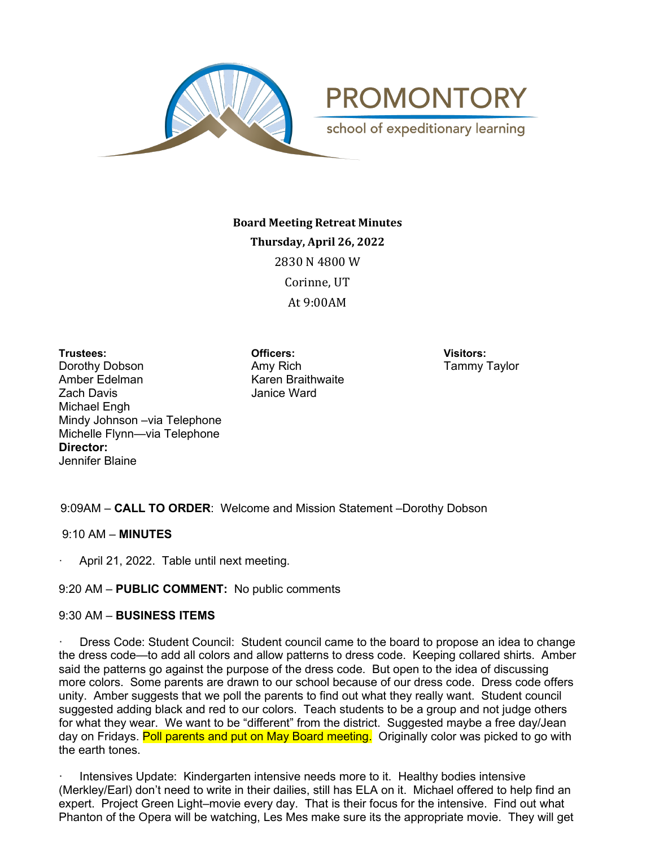

**PROMONTORY** school of expeditionary learning

**Board Meeting Retreat Minutes Thursday, April 26, 2022** 2830 N 4800 W Corinne, UT At 9:00AM

**Trustees: Officers: Visitors:** Dorothy Dobson Amy Rich Tammy Taylor Amber Edelman Karen Braithwaite Zach Davis Janice Ward Michael Engh Mindy Johnson –via Telephone Michelle Flynn—via Telephone **Director:** Jennifer Blaine

9:09AM – **CALL TO ORDER**: Welcome and Mission Statement –Dorothy Dobson

9:10 AM – **MINUTES**

April 21, 2022. Table until next meeting.

## 9:20 AM – **PUBLIC COMMENT:** No public comments

## 9:30 AM – **BUSINESS ITEMS**

· Dress Code: Student Council: Student council came to the board to propose an idea to change the dress code—to add all colors and allow patterns to dress code. Keeping collared shirts. Amber said the patterns go against the purpose of the dress code. But open to the idea of discussing more colors. Some parents are drawn to our school because of our dress code. Dress code offers unity. Amber suggests that we poll the parents to find out what they really want. Student council suggested adding black and red to our colors. Teach students to be a group and not judge others for what they wear. We want to be "different" from the district. Suggested maybe a free day/Jean day on Fridays. Poll parents and put on May Board meeting. Originally color was picked to go with the earth tones.

Intensives Update: Kindergarten intensive needs more to it. Healthy bodies intensive (Merkley/Earl) don't need to write in their dailies, still has ELA on it. Michael offered to help find an expert. Project Green Light–movie every day. That is their focus for the intensive. Find out what Phanton of the Opera will be watching, Les Mes make sure its the appropriate movie. They will get